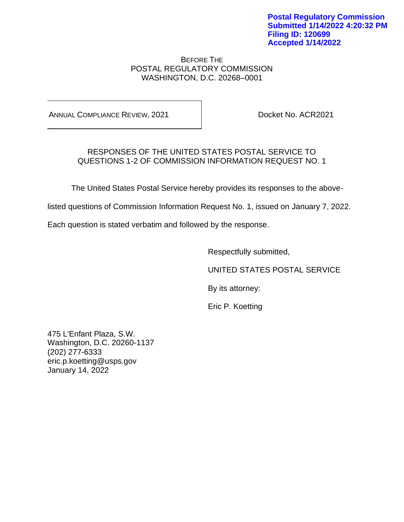BEFORE THE POSTAL REGULATORY COMMISSION WASHINGTON, D.C. 20268–0001

ANNUAL COMPLIANCE REVIEW, 2021 Docket No. ACR2021

# RESPONSES OF THE UNITED STATES POSTAL SERVICE TO QUESTIONS 1-2 OF COMMISSION INFORMATION REQUEST NO. 1

The United States Postal Service hereby provides its responses to the above-

listed questions of Commission Information Request No. 1, issued on January 7, 2022.

Each question is stated verbatim and followed by the response.

Respectfully submitted,

UNITED STATES POSTAL SERVICE

By its attorney:

Eric P. Koetting

475 L'Enfant Plaza, S.W. Washington, D.C. 20260-1137 (202) 277-6333 eric.p.koetting@usps.gov January 14, 2022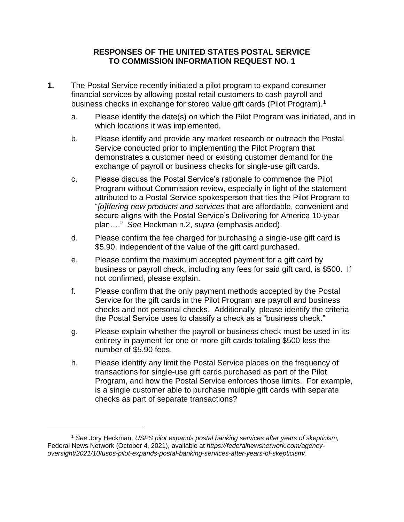- **1.** The Postal Service recently initiated a pilot program to expand consumer financial services by allowing postal retail customers to cash payroll and business checks in exchange for stored value gift cards (Pilot Program).<sup>1</sup>
	- a. Please identify the date(s) on which the Pilot Program was initiated, and in which locations it was implemented.
	- b. Please identify and provide any market research or outreach the Postal Service conducted prior to implementing the Pilot Program that demonstrates a customer need or existing customer demand for the exchange of payroll or business checks for single-use gift cards.
	- c. Please discuss the Postal Service's rationale to commence the Pilot Program without Commission review, especially in light of the statement attributed to a Postal Service spokesperson that ties the Pilot Program to "*[o]ffering new products and services* that are affordable, convenient and secure aligns with the Postal Service's Delivering for America 10-year plan…." *See* Heckman n.2, *supra* (emphasis added).
	- d. Please confirm the fee charged for purchasing a single-use gift card is \$5.90, independent of the value of the gift card purchased.
	- e. Please confirm the maximum accepted payment for a gift card by business or payroll check, including any fees for said gift card, is \$500. If not confirmed, please explain.
	- f. Please confirm that the only payment methods accepted by the Postal Service for the gift cards in the Pilot Program are payroll and business checks and not personal checks. Additionally, please identify the criteria the Postal Service uses to classify a check as a "business check."
	- g. Please explain whether the payroll or business check must be used in its entirety in payment for one or more gift cards totaling \$500 less the number of \$5.90 fees.
	- h. Please identify any limit the Postal Service places on the frequency of transactions for single-use gift cards purchased as part of the Pilot Program, and how the Postal Service enforces those limits. For example, is a single customer able to purchase multiple gift cards with separate checks as part of separate transactions?

<sup>1</sup> *See* Jory Heckman, *USPS pilot expands postal banking services after years of skepticism,*  Federal News Network (October 4, 2021), available at *https://federalnewsnetwork.com/agencyoversight/2021/10/usps-pilot-expands-postal-banking-services-after-years-of-skepticism/*.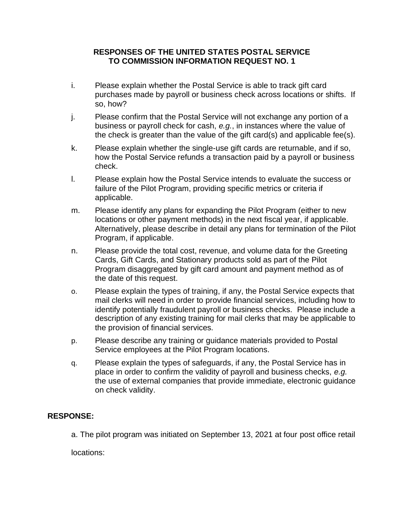- i. Please explain whether the Postal Service is able to track gift card purchases made by payroll or business check across locations or shifts. If so, how?
- j. Please confirm that the Postal Service will not exchange any portion of a business or payroll check for cash, *e.g.*, in instances where the value of the check is greater than the value of the gift card(s) and applicable fee(s).
- k. Please explain whether the single-use gift cards are returnable, and if so, how the Postal Service refunds a transaction paid by a payroll or business check.
- l. Please explain how the Postal Service intends to evaluate the success or failure of the Pilot Program, providing specific metrics or criteria if applicable.
- m. Please identify any plans for expanding the Pilot Program (either to new locations or other payment methods) in the next fiscal year, if applicable. Alternatively, please describe in detail any plans for termination of the Pilot Program, if applicable.
- n. Please provide the total cost, revenue, and volume data for the Greeting Cards, Gift Cards, and Stationary products sold as part of the Pilot Program disaggregated by gift card amount and payment method as of the date of this request.
- o. Please explain the types of training, if any, the Postal Service expects that mail clerks will need in order to provide financial services, including how to identify potentially fraudulent payroll or business checks. Please include a description of any existing training for mail clerks that may be applicable to the provision of financial services.
- p. Please describe any training or guidance materials provided to Postal Service employees at the Pilot Program locations.
- q. Please explain the types of safeguards, if any, the Postal Service has in place in order to confirm the validity of payroll and business checks, *e.g.*  the use of external companies that provide immediate, electronic guidance on check validity.

## **RESPONSE:**

a. The pilot program was initiated on September 13, 2021 at four post office retail

locations: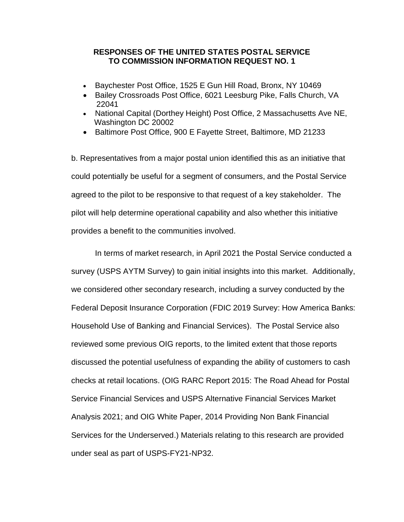- Baychester Post Office, 1525 E Gun Hill Road, Bronx, NY 10469
- Bailey Crossroads Post Office, 6021 Leesburg Pike, Falls Church, VA 22041
- National Capital (Dorthey Height) Post Office, 2 Massachusetts Ave NE, Washington DC 20002
- Baltimore Post Office, 900 E Fayette Street, Baltimore, MD 21233

b. Representatives from a major postal union identified this as an initiative that could potentially be useful for a segment of consumers, and the Postal Service agreed to the pilot to be responsive to that request of a key stakeholder. The pilot will help determine operational capability and also whether this initiative provides a benefit to the communities involved.

In terms of market research, in April 2021 the Postal Service conducted a survey (USPS AYTM Survey) to gain initial insights into this market. Additionally, we considered other secondary research, including a survey conducted by the Federal Deposit Insurance Corporation (FDIC 2019 Survey: How America Banks: Household Use of Banking and Financial Services). The Postal Service also reviewed some previous OIG reports, to the limited extent that those reports discussed the potential usefulness of expanding the ability of customers to cash checks at retail locations. (OIG RARC Report 2015: The Road Ahead for Postal Service Financial Services and USPS Alternative Financial Services Market Analysis 2021; and OIG White Paper, 2014 Providing Non Bank Financial Services for the Underserved.) Materials relating to this research are provided under seal as part of USPS-FY21-NP32.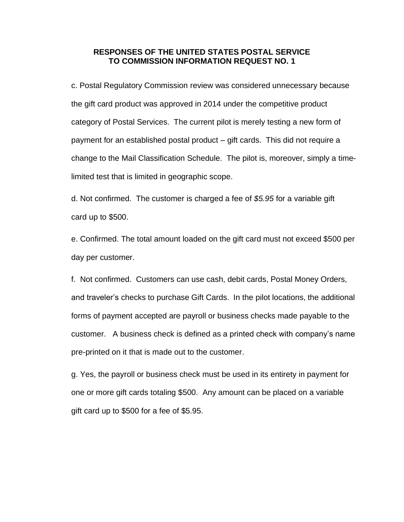c. Postal Regulatory Commission review was considered unnecessary because the gift card product was approved in 2014 under the competitive product category of Postal Services. The current pilot is merely testing a new form of payment for an established postal product – gift cards. This did not require a change to the Mail Classification Schedule. The pilot is, moreover, simply a timelimited test that is limited in geographic scope.

d. Not confirmed. The customer is charged a fee of *\$5.95* for a variable gift card up to \$500.

e. Confirmed. The total amount loaded on the gift card must not exceed \$500 per day per customer.

f. Not confirmed. Customers can use cash, debit cards, Postal Money Orders, and traveler's checks to purchase Gift Cards. In the pilot locations, the additional forms of payment accepted are payroll or business checks made payable to the customer. A business check is defined as a printed check with company's name pre-printed on it that is made out to the customer.

g. Yes, the payroll or business check must be used in its entirety in payment for one or more gift cards totaling \$500. Any amount can be placed on a variable gift card up to \$500 for a fee of \$5.95.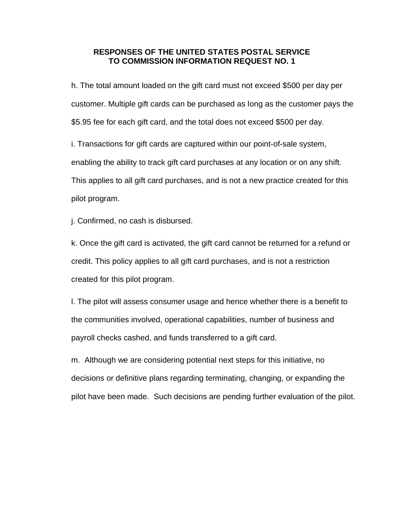h. The total amount loaded on the gift card must not exceed \$500 per day per customer. Multiple gift cards can be purchased as long as the customer pays the \$5.95 fee for each gift card, and the total does not exceed \$500 per day.

i. Transactions for gift cards are captured within our point-of-sale system, enabling the ability to track gift card purchases at any location or on any shift. This applies to all gift card purchases, and is not a new practice created for this pilot program.

j. Confirmed, no cash is disbursed.

k. Once the gift card is activated, the gift card cannot be returned for a refund or credit. This policy applies to all gift card purchases, and is not a restriction created for this pilot program.

l. The pilot will assess consumer usage and hence whether there is a benefit to the communities involved, operational capabilities, number of business and payroll checks cashed, and funds transferred to a gift card.

m. Although we are considering potential next steps for this initiative, no decisions or definitive plans regarding terminating, changing, or expanding the pilot have been made. Such decisions are pending further evaluation of the pilot.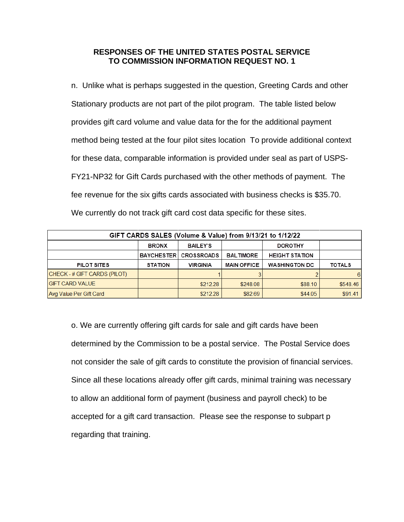n. Unlike what is perhaps suggested in the question, Greeting Cards and other Stationary products are not part of the pilot program. The table listed below provides gift card volume and value data for the for the additional payment method being tested at the four pilot sites location To provide additional context for these data, comparable information is provided under seal as part of USPS-FY21-NP32 for Gift Cards purchased with the other methods of payment. The fee revenue for the six gifts cards associated with business checks is \$35.70. We currently do not track gift card cost data specific for these sites.

| GIFT CARDS SALES (Volume & Value) from 9/13/21 to 1/12/22 |                   |                   |                    |                       |               |
|-----------------------------------------------------------|-------------------|-------------------|--------------------|-----------------------|---------------|
|                                                           | <b>BRONX</b>      | <b>BAILEY'S</b>   |                    | <b>DOROTHY</b>        |               |
|                                                           | <b>BAYCHESTER</b> | <b>CROSSROADS</b> | <b>BALTIMORE</b>   | <b>HEIGHT STATION</b> |               |
| PILOT SITES                                               | <b>STATION</b>    | <b>VIRGINIA</b>   | <b>MAIN OFFICE</b> | <b>WASHINGTON DC</b>  | <b>TOTALS</b> |
| CHECK-#GIFT CARDS (PILOT)                                 |                   |                   |                    |                       | 6.            |
| <b>GIFT CARD VALUE</b>                                    |                   | \$212.28          | \$248.08           | \$88.10               | \$548.46      |
| Avg Value Per Gift Card                                   |                   | \$212.28          | \$82.69            | \$44.05               | \$91.41       |

o. We are currently offering gift cards for sale and gift cards have been determined by the Commission to be a postal service. The Postal Service does not consider the sale of gift cards to constitute the provision of financial services. Since all these locations already offer gift cards, minimal training was necessary to allow an additional form of payment (business and payroll check) to be accepted for a gift card transaction. Please see the response to subpart p regarding that training.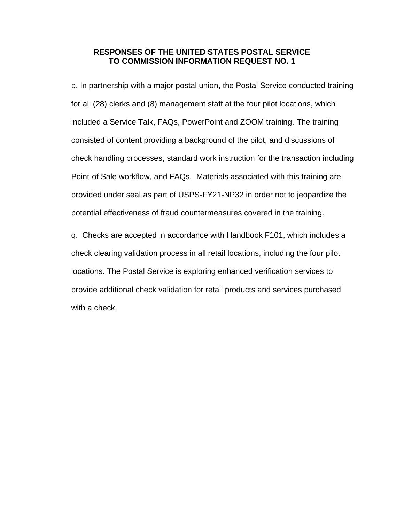p. In partnership with a major postal union, the Postal Service conducted training for all (28) clerks and (8) management staff at the four pilot locations, which included a Service Talk, FAQs, PowerPoint and ZOOM training. The training consisted of content providing a background of the pilot, and discussions of check handling processes, standard work instruction for the transaction including Point-of Sale workflow, and FAQs. Materials associated with this training are provided under seal as part of USPS-FY21-NP32 in order not to jeopardize the potential effectiveness of fraud countermeasures covered in the training.

q. Checks are accepted in accordance with Handbook F101, which includes a check clearing validation process in all retail locations, including the four pilot locations. The Postal Service is exploring enhanced verification services to provide additional check validation for retail products and services purchased with a check.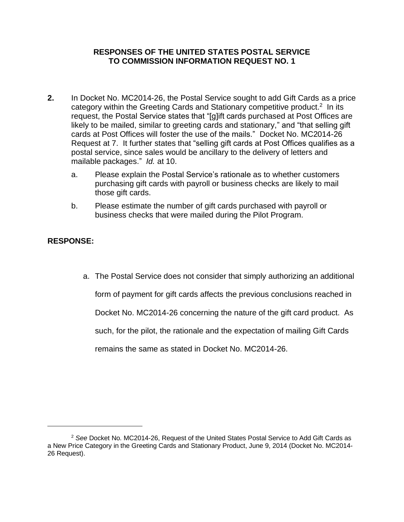- **2.** In Docket No. MC2014-26, the Postal Service sought to add Gift Cards as a price category within the Greeting Cards and Stationary competitive product.<sup>2</sup> In its request, the Postal Service states that "[g]ift cards purchased at Post Offices are likely to be mailed, similar to greeting cards and stationary," and "that selling gift cards at Post Offices will foster the use of the mails." Docket No. MC2014-26 Request at 7. It further states that "selling gift cards at Post Offices qualifies as a postal service, since sales would be ancillary to the delivery of letters and mailable packages." *Id.* at 10.
	- a. Please explain the Postal Service's rationale as to whether customers purchasing gift cards with payroll or business checks are likely to mail those gift cards.
	- b. Please estimate the number of gift cards purchased with payroll or business checks that were mailed during the Pilot Program.

# **RESPONSE:**

a. The Postal Service does not consider that simply authorizing an additional

form of payment for gift cards affects the previous conclusions reached in

Docket No. MC2014-26 concerning the nature of the gift card product. As

such, for the pilot, the rationale and the expectation of mailing Gift Cards

remains the same as stated in Docket No. MC2014-26.

<sup>2</sup> *See* Docket No. MC2014-26, Request of the United States Postal Service to Add Gift Cards as a New Price Category in the Greeting Cards and Stationary Product, June 9, 2014 (Docket No. MC2014- 26 Request).